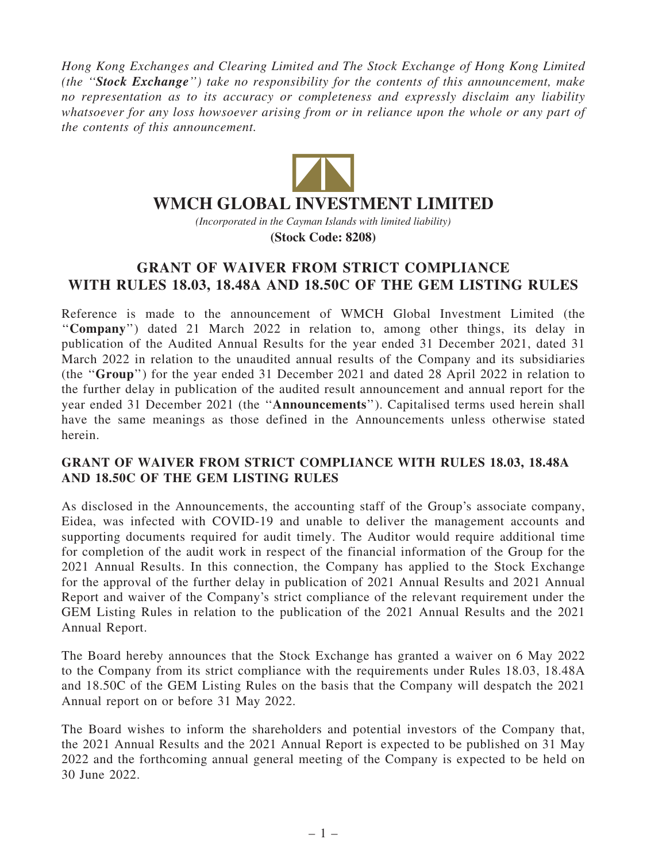Hong Kong Exchanges and Clearing Limited and The Stock Exchange of Hong Kong Limited (the ''Stock Exchange'') take no responsibility for the contents of this announcement, make no representation as to its accuracy or completeness and expressly disclaim any liability whatsoever for any loss howsoever arising from or in reliance upon the whole or any part of the contents of this announcement.



## **WMCH GLOBAL INVESTMENT LIMITED**

*(Incorporated in the Cayman Islands with limited liability)* **(Stock Code: 8208)**

## GRANT OF WAIVER FROM STRICT COMPLIANCE WITH RULES 18.03, 18.48A AND 18.50C OF THE GEM LISTING RULES

Reference is made to the announcement of WMCH Global Investment Limited (the ''Company'') dated 21 March 2022 in relation to, among other things, its delay in publication of the Audited Annual Results for the year ended 31 December 2021, dated 31 March 2022 in relation to the unaudited annual results of the Company and its subsidiaries (the ''Group'') for the year ended 31 December 2021 and dated 28 April 2022 in relation to the further delay in publication of the audited result announcement and annual report for the year ended 31 December 2021 (the ''Announcements''). Capitalised terms used herein shall have the same meanings as those defined in the Announcements unless otherwise stated herein.

## GRANT OF WAIVER FROM STRICT COMPLIANCE WITH RULES 18.03, 18.48A AND 18.50C OF THE GEM LISTING RULES

As disclosed in the Announcements, the accounting staff of the Group's associate company, Eidea, was infected with COVID-19 and unable to deliver the management accounts and supporting documents required for audit timely. The Auditor would require additional time for completion of the audit work in respect of the financial information of the Group for the 2021 Annual Results. In this connection, the Company has applied to the Stock Exchange for the approval of the further delay in publication of 2021 Annual Results and 2021 Annual Report and waiver of the Company's strict compliance of the relevant requirement under the GEM Listing Rules in relation to the publication of the 2021 Annual Results and the 2021 Annual Report.

The Board hereby announces that the Stock Exchange has granted a waiver on 6 May 2022 to the Company from its strict compliance with the requirements under Rules 18.03, 18.48A and 18.50C of the GEM Listing Rules on the basis that the Company will despatch the 2021 Annual report on or before 31 May 2022.

The Board wishes to inform the shareholders and potential investors of the Company that, the 2021 Annual Results and the 2021 Annual Report is expected to be published on 31 May 2022 and the forthcoming annual general meeting of the Company is expected to be held on 30 June 2022.